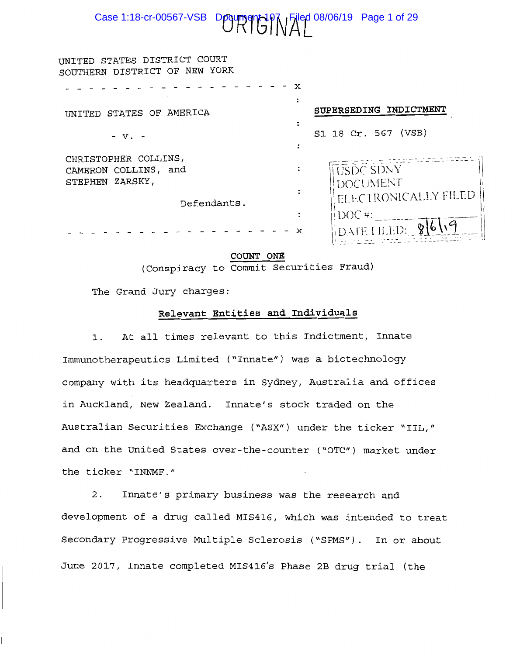# Case 1:18-cr-00567-VSB DOUTHER 107 Filed 08/06/19 Page 1 of 29

| UNITED STATES DISTRICT COURT<br>SOUTHERN DISTRICT OF NEW YORK                  |   |                                                             |
|--------------------------------------------------------------------------------|---|-------------------------------------------------------------|
| UNITED STATES OF AMERICA                                                       |   | SUPERSEDING INDICTMENT                                      |
| - v.                                                                           |   | S1 18 Cr. 567 (VSB)                                         |
| CHRISTOPHER COLLINS,<br>CAMERON COLLINS, and<br>STEPHEN ZARSKY,<br>Defendants. |   | <b>USDC SDNY</b><br><b>DOCUMENT</b><br>ELECTRONICALLY FILED |
|                                                                                | х | $\rm i$ DOC#:                                               |

COUNT ONE (Conspiracy to Commit Securities Fraud)

The Grand Jury charges:

## Relevant Entities and Individuals

At all times relevant to this Indictment, Innate  $1$ . Immunotherapeutics Limited ("Innate") was a biotechnology company with its headquarters in Sydney, Australia and offices in Auckland, New Zealand. Innate's stock traded on the Australian Securities Exchange ("ASX") under the ticker "IIL," and on the United States over-the-counter ("OTC") market under the ticker "INNMF."

Innate's primary business was the research and  $2.$ development of a drug called MIS416, which was intended to treat Secondary Progressive Multiple Sclerosis ("SPMS"). In or about June 2017, Innate completed MIS416's Phase 2B drug trial (the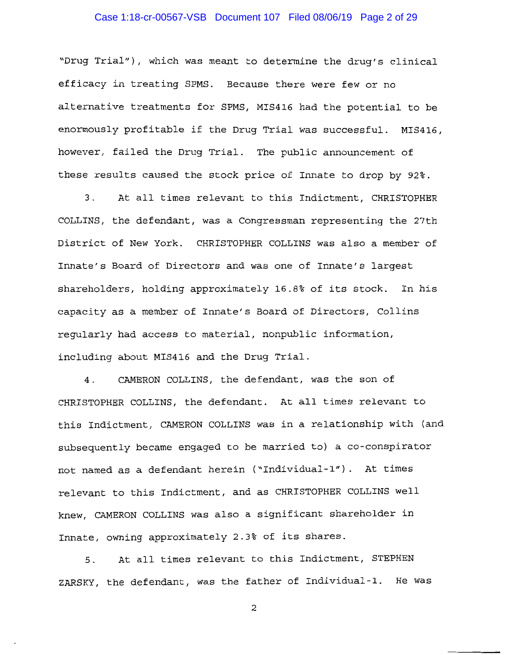# Case 1:18-cr-00567-VSB Document 107 Filed 08/06/19 Page 2 of 29

"Drug Trial"), which was meant to determine the drug's clinical efficacy in treating SPMS. Because there were few or no alternative treatments for SPMS, MIS416 had the potential to be enormously profitable if the Drug Trial was successful. MIS416, however, failed the Drug Trial. The public announcement of these results caused the stock price of Innate to drop by 92%.

 $3<sub>1</sub>$ At all times relevant to this Indictment, CHRISTOPHER COLLINS, the defendant, was a Congressman representing the 27th District of New York. CHRISTOPHER COLLINS was also a member of Innate's Board of Directors and was one of Innate's largest shareholders, holding approximately 16.8% of its stock. In his capacity as a member of Innate's Board of Directors, Collins reqularly had access to material, nonpublic information, including about MIS416 and the Drug Trial.

CAMERON COLLINS, the defendant, was the son of  $4.$ CHRISTOPHER COLLINS, the defendant. At all times relevant to this Indictment, CAMERON COLLINS was in a relationship with (and subsequently became engaged to be married to) a co-conspirator not named as a defendant herein ("Individual-1"). At times relevant to this Indictment, and as CHRISTOPHER COLLINS well knew, CAMERON COLLINS was also a significant shareholder in Innate, owning approximately 2.3% of its shares.

 $5.$ At all times relevant to this Indictment, STEPHEN ZARSKY, the defendant, was the father of Individual-1. He was

 $\overline{a}$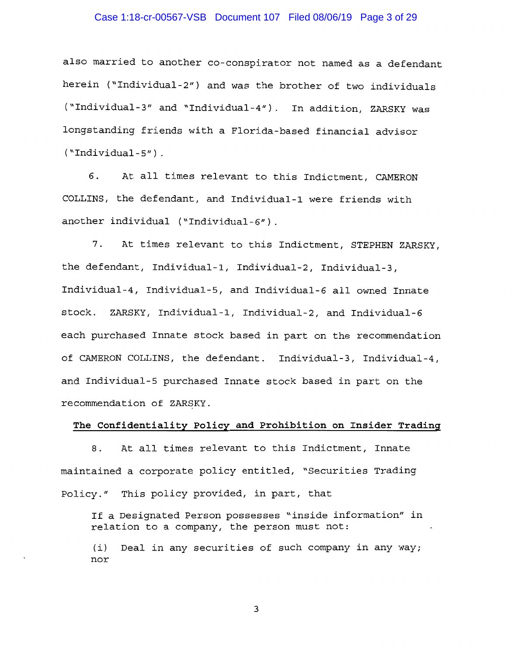## Case 1:18-cr-00567-VSB Document 107 Filed 08/06/19 Page 3 of 29

also married to another co-conspirator not named as a defendant herein ("Individual-2") and was the brother of two individuals ("Individual-3" and "Individual-4"). In addition, ZARSKY was longstanding friends with a Florida-based financial advisor  $("Indivial-5")$ .

6. At all times relevant to this Indictment, CAMERON COLLINS, the defendant, and Individual-1 were friends with another individual ("Individual-6").

 $7.$ At times relevant to this Indictment, STEPHEN ZARSKY, the defendant, Individual-1, Individual-2, Individual-3, Individual-4, Individual-5, and Individual-6 all owned Innate stock. ZARSKY, Individual-1, Individual-2, and Individual-6 each purchased Innate stock based in part on the recommendation of CAMERON COLLINS, the defendant. Individual-3, Individual-4, and Individual-5 purchased Innate stock based in part on the recommendation of ZARSKY.

## The Confidentiality Policy and Prohibition on Insider Trading

At all times relevant to this Indictment, Innate  $8<sub>1</sub>$ maintained a corporate policy entitled, "Securities Trading Policy." This policy provided, in part, that

If a Designated Person possesses "inside information" in relation to a company, the person must not:

(i) Deal in any securities of such company in any way; nor

 $\overline{3}$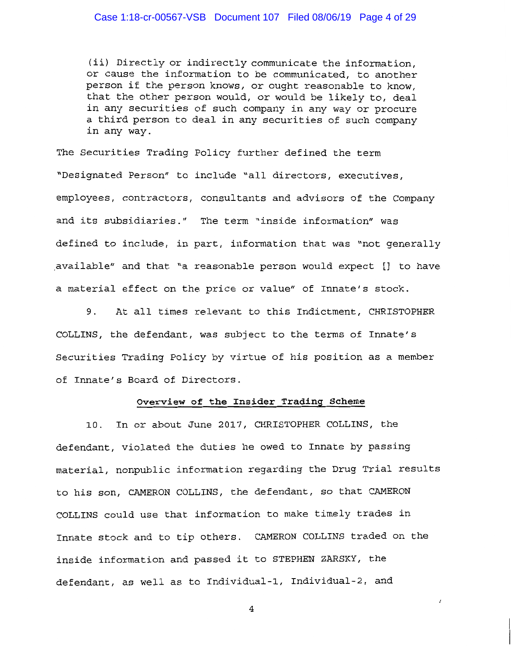## Case 1:18-cr-00567-VSB Document 107 Filed 08/06/19 Page 4 of 29

(ii) Directly or indirectly communicate the information, or cause the information to be communicated, to another person if the person knows, or ought reasonable to know. that the other person would, or would be likely to, deal in any securities of such company in any way or procure a third person to deal in any securities of such company in any way.

The Securities Trading Policy further defined the term "Designated Person" to include "all directors, executives, employees, contractors, consultants and advisors of the Company and its subsidiaries." The term "inside information" was defined to include, in part, information that was "not generally available" and that "a reasonable person would expect [] to have a material effect on the price or value" of Innate's stock.

9. At all times relevant to this Indictment, CHRISTOPHER COLLINS, the defendant, was subject to the terms of Innate's Securities Trading Policy by virtue of his position as a member of Innate's Board of Directors.

## Overview of the Insider Trading Scheme

In or about June 2017, CHRISTOPHER COLLINS, the  $10.$ defendant, violated the duties he owed to Innate by passing material, nonpublic information regarding the Drug Trial results to his son, CAMERON COLLINS, the defendant, so that CAMERON COLLINS could use that information to make timely trades in Innate stock and to tip others. CAMERON COLLINS traded on the inside information and passed it to STEPHEN ZARSKY, the defendant, as well as to Individual-1, Individual-2, and

4

 $\lambda$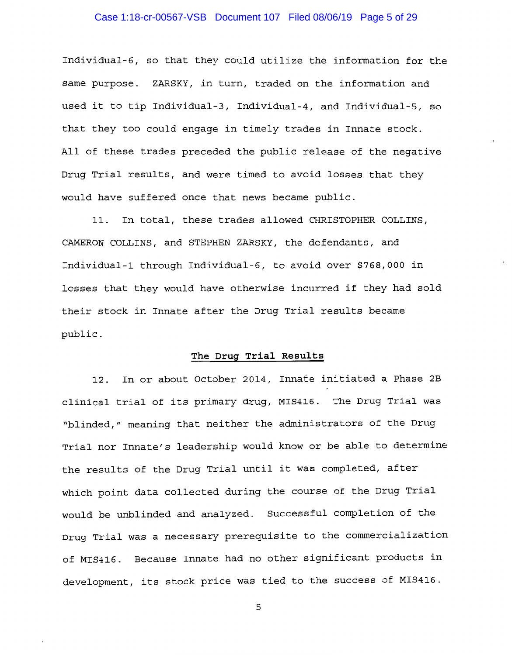## Case 1:18-cr-00567-VSB Document 107 Filed 08/06/19 Page 5 of 29

Individual-6, so that they could utilize the information for the same purpose. ZARSKY, in turn, traded on the information and used it to tip Individual-3, Individual-4, and Individual-5, so that they too could engage in timely trades in Innate stock. All of these trades preceded the public release of the negative Drug Trial results, and were timed to avoid losses that they would have suffered once that news became public.

11. In total, these trades allowed CHRISTOPHER COLLINS, CAMERON COLLINS, and STEPHEN ZARSKY, the defendants, and Individual-1 through Individual-6, to avoid over \$768,000 in losses that they would have otherwise incurred if they had sold their stock in Innate after the Drug Trial results became public.

## The Drug Trial Results

12. In or about October 2014, Innate initiated a Phase 2B clinical trial of its primary drug, MIS416. The Drug Trial was "blinded," meaning that neither the administrators of the Drug Trial nor Innate's leadership would know or be able to determine the results of the Drug Trial until it was completed, after which point data collected during the course of the Drug Trial would be unblinded and analyzed. Successful completion of the Drug Trial was a necessary prerequisite to the commercialization of MIS416. Because Innate had no other significant products in development, its stock price was tied to the success of MIS416.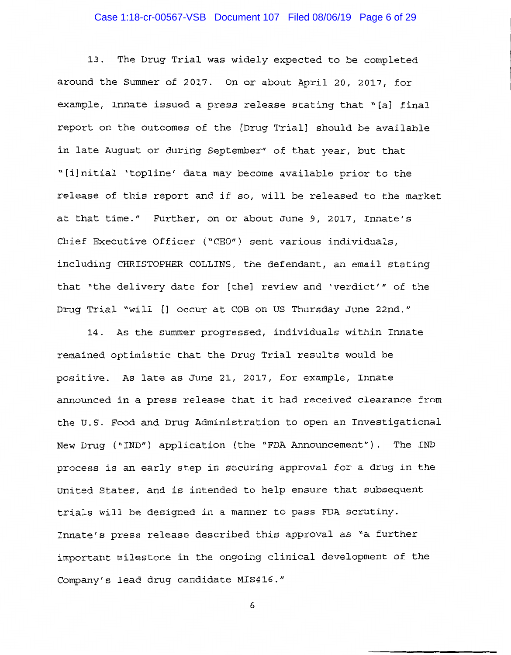# Case 1:18-cr-00567-VSB Document 107 Filed 08/06/19 Page 6 of 29

 $13.$ The Drug Trial was widely expected to be completed around the Summer of 2017. On or about April 20, 2017, for example, Innate issued a press release stating that "[a] final report on the outcomes of the [Drug Trial] should be available in late August or during September" of that year, but that "[i]nitial 'topline' data may become available prior to the release of this report and if so, will be released to the market at that time." Further, on or about June 9, 2017, Innate's Chief Executive Officer ("CEO") sent various individuals, including CHRISTOPHER COLLINS, the defendant, an email stating that "the delivery date for [the] review and 'verdict'" of the Drug Trial "will [] occur at COB on US Thursday June 22nd."

14. As the summer progressed, individuals within Innate remained optimistic that the Drug Trial results would be positive. As late as June 21, 2017, for example, Innate announced in a press release that it had received clearance from the U.S. Food and Drug Administration to open an Investigational New Drug ("IND") application (the "FDA Announcement"). The IND process is an early step in securing approval for a drug in the United States, and is intended to help ensure that subsequent trials will be designed in a manner to pass FDA scrutiny. Innate's press release described this approval as "a further important milestone in the ongoing clinical development of the Company's lead drug candidate MIS416."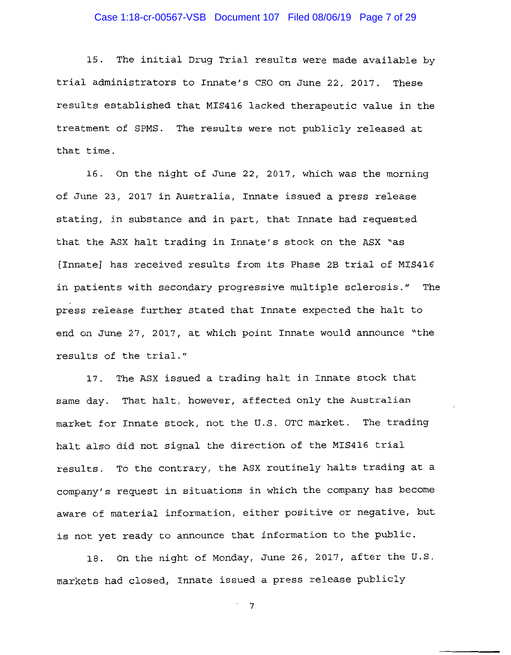## Case 1:18-cr-00567-VSB Document 107 Filed 08/06/19 Page 7 of 29

15. The initial Drug Trial results were made available by trial administrators to Innate's CEO on June 22, 2017. These results established that MIS416 lacked therapeutic value in the treatment of SPMS. The results were not publicly released at that time.

16. On the night of June 22, 2017, which was the morning of June 23, 2017 in Australia, Innate issued a press release stating, in substance and in part, that Innate had requested that the ASX halt trading in Innate's stock on the ASX "as [Innate] has received results from its Phase 2B trial of MIS416 in patients with secondary progressive multiple sclerosis." The press release further stated that Innate expected the halt to end on June 27, 2017, at which point Innate would announce "the results of the trial."

17. The ASX issued a trading halt in Innate stock that same day. That halt, however, affected only the Australian market for Innate stock, not the U.S. OTC market. The trading halt also did not signal the direction of the MIS416 trial results. To the contrary, the ASX routinely halts trading at a company's request in situations in which the company has become aware of material information, either positive or negative, but is not yet ready to announce that information to the public.

18. On the night of Monday, June 26, 2017, after the U.S. markets had closed, Innate issued a press release publicly

 $7^{\circ}$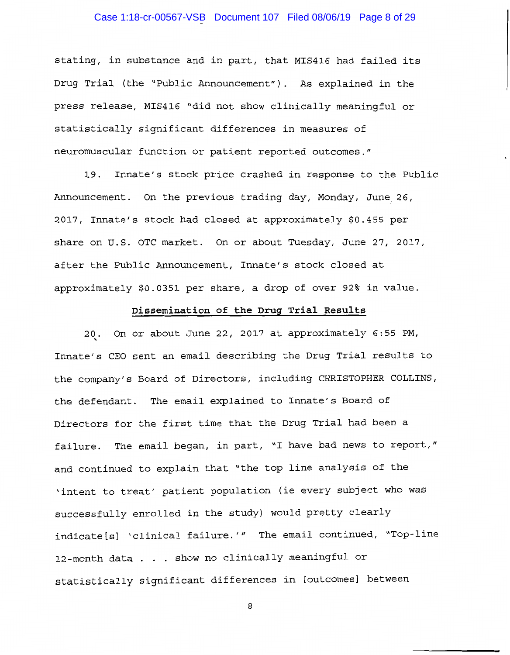# Case 1:18-cr-00567-VSB Document 107 Filed 08/06/19 Page 8 of 29

stating, in substance and in part, that MIS416 had failed its Drug Trial (the "Public Announcement"). As explained in the press release, MIS416 "did not show clinically meaningful or statistically significant differences in measures of neuromuscular function or patient reported outcomes."

Innate's stock price crashed in response to the Public 19. Announcement. On the previous trading day, Monday, June 26, 2017, Innate's stock had closed at approximately \$0.455 per share on U.S. OTC market. On or about Tuesday, June 27, 2017, after the Public Announcement, Innate's stock closed at approximately \$0.0351 per share, a drop of over 92% in value.

## Dissemination of the Drug Trial Results

20. On or about June 22, 2017 at approximately 6:55 PM, Innate's CEO sent an email describing the Drug Trial results to the company's Board of Directors, including CHRISTOPHER COLLINS, the defendant. The email explained to Innate's Board of Directors for the first time that the Drug Trial had been a failure. The email began, in part, "I have bad news to report," and continued to explain that "the top line analysis of the 'intent to treat' patient population (ie every subject who was successfully enrolled in the study) would pretty clearly indicate[s] 'clinical failure.'" The email continued, "Top-line 12-month data . . . show no clinically meaningful or statistically significant differences in [outcomes] between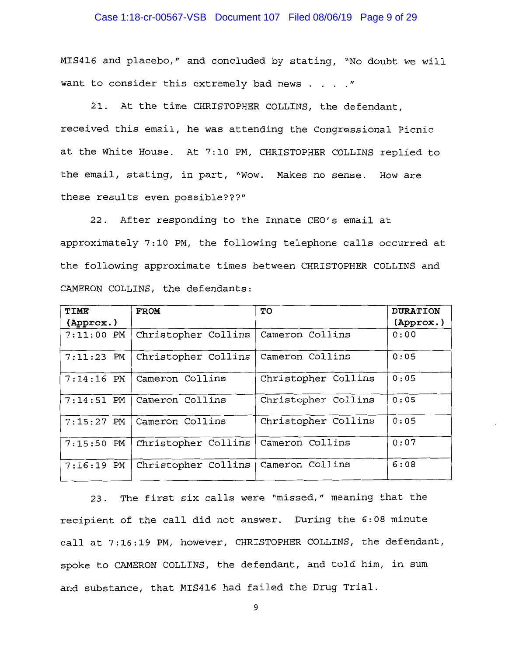## Case 1:18-cr-00567-VSB Document 107 Filed 08/06/19 Page 9 of 29

MIS416 and placebo," and concluded by stating, "No doubt we will want to consider this extremely bad news . . . . "

21. At the time CHRISTOPHER COLLINS, the defendant, received this email, he was attending the Congressional Picnic at the White House. At 7:10 PM, CHRISTOPHER COLLINS replied to the email, stating, in part, "Wow. Makes no sense. How are these results even possible???"

22. After responding to the Innate CEO's email at approximately 7:10 PM, the following telephone calls occurred at the following approximate times between CHRISTOPHER COLLINS and CAMERON COLLINS, the defendants:

| TIME               | <b>FROM</b>         | TO                  | <b>DURATION</b> |
|--------------------|---------------------|---------------------|-----------------|
| $(\text{Approx.})$ |                     |                     | (Approx.)       |
| $7:11:00$ PM       | Christopher Collins | Cameron Collins     | 0:00            |
| $7:11:23$ PM       | Christopher Collins | Cameron Collins     | 0:05            |
| $7:14:16$ PM       | Cameron Collins     | Christopher Collins | 0:05            |
| $7:14:51$ PM       | Cameron Collins     | Christopher Collins | 0:05            |
| $7:15:27$ PM       | Cameron Collins     | Christopher Collins | 0:05            |
| $7:15:50$ PM       | Christopher Collins | Cameron Collins     | 0:07            |
| $7:16:19$ PM       | Christopher Collins | Cameron Collins     | 6:08            |

23. The first six calls were "missed," meaning that the recipient of the call did not answer. During the 6:08 minute call at 7:16:19 PM, however, CHRISTOPHER COLLINS, the defendant, spoke to CAMERON COLLINS, the defendant, and told him, in sum and substance, that MIS416 had failed the Drug Trial.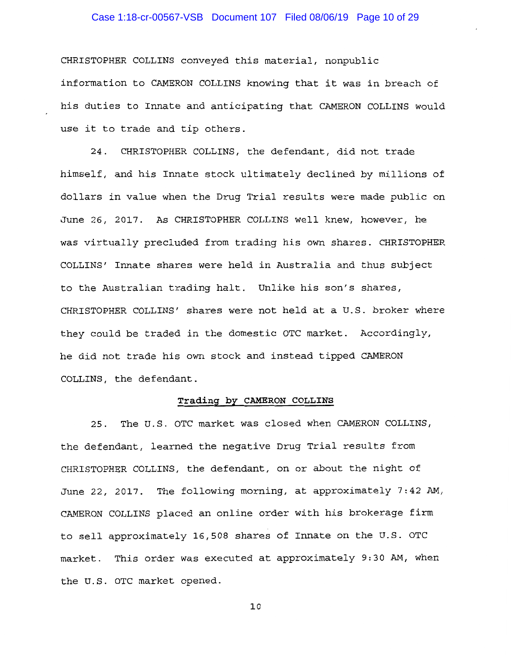## Case 1:18-cr-00567-VSB Document 107 Filed 08/06/19 Page 10 of 29

CHRISTOPHER COLLINS conveyed this material, nonpublic information to CAMERON COLLINS knowing that it was in breach of his duties to Innate and anticipating that CAMERON COLLINS would use it to trade and tip others.

24. CHRISTOPHER COLLINS, the defendant, did not trade himself, and his Innate stock ultimately declined by millions of dollars in value when the Drug Trial results were made public on June 26, 2017. As CHRISTOPHER COLLINS well knew, however, he was virtually precluded from trading his own shares. CHRISTOPHER COLLINS' Innate shares were held in Australia and thus subject to the Australian trading halt. Unlike his son's shares, CHRISTOPHER COLLINS' shares were not held at a U.S. broker where they could be traded in the domestic OTC market. Accordingly, he did not trade his own stock and instead tipped CAMERON COLLINS, the defendant.

## Trading by CAMERON COLLINS

The U.S. OTC market was closed when CAMERON COLLINS,  $25.$ the defendant, learned the negative Drug Trial results from CHRISTOPHER COLLINS, the defendant, on or about the night of June 22, 2017. The following morning, at approximately 7:42 AM, CAMERON COLLINS placed an online order with his brokerage firm to sell approximately 16,508 shares of Innate on the U.S. OTC market. This order was executed at approximately 9:30 AM, when the U.S. OTC market opened.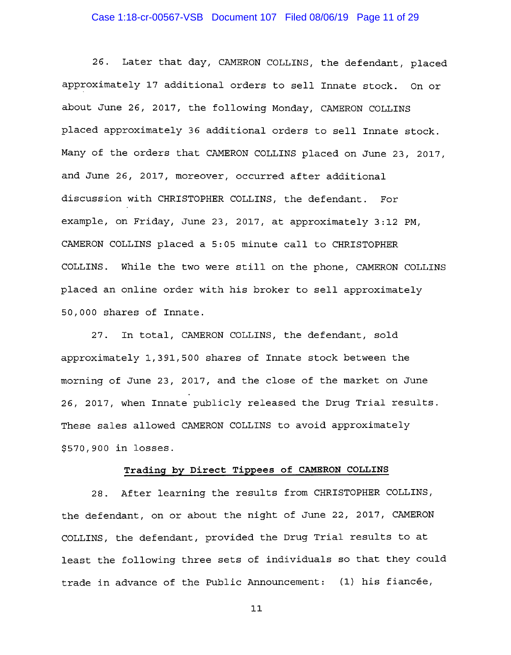## Case 1:18-cr-00567-VSB Document 107 Filed 08/06/19 Page 11 of 29

Later that day, CAMERON COLLINS, the defendant, placed  $26.$ approximately 17 additional orders to sell Innate stock. On or about June 26, 2017, the following Monday, CAMERON COLLINS placed approximately 36 additional orders to sell Innate stock. Many of the orders that CAMERON COLLINS placed on June 23, 2017, and June 26, 2017, moreover, occurred after additional discussion with CHRISTOPHER COLLINS, the defendant. For example, on Friday, June 23, 2017, at approximately 3:12 PM, CAMERON COLLINS placed a 5:05 minute call to CHRISTOPHER COLLINS. While the two were still on the phone, CAMERON COLLINS placed an online order with his broker to sell approximately 50,000 shares of Innate.

In total, CAMERON COLLINS, the defendant, sold  $27.$ approximately 1,391,500 shares of Innate stock between the morning of June 23, 2017, and the close of the market on June 26, 2017, when Innate publicly released the Drug Trial results. These sales allowed CAMERON COLLINS to avoid approximately \$570,900 in losses.

## Trading by Direct Tippees of CAMERON COLLINS

After learning the results from CHRISTOPHER COLLINS,  $28.$ the defendant, on or about the night of June 22, 2017, CAMERON COLLINS, the defendant, provided the Drug Trial results to at least the following three sets of individuals so that they could trade in advance of the Public Announcement: (1) his fiancée,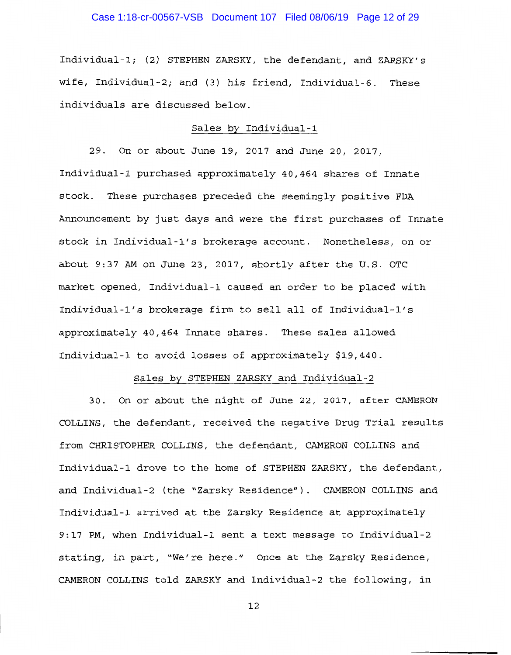# Case 1:18-cr-00567-VSB Document 107 Filed 08/06/19 Page 12 of 29

Individual-1; (2) STEPHEN ZARSKY, the defendant, and ZARSKY's wife, Individual-2; and (3) his friend, Individual-6. These individuals are discussed below.

## Sales by Individual-1

29. On or about June 19, 2017 and June 20, 2017, Individual-1 purchased approximately 40,464 shares of Innate stock. These purchases preceded the seemingly positive FDA Announcement by just days and were the first purchases of Innate stock in Individual-1's brokerage account. Nonetheless, on or about 9:37 AM on June 23, 2017, shortly after the U.S. OTC market opened, Individual-1 caused an order to be placed with Individual-1's brokerage firm to sell all of Individual-1's approximately 40,464 Innate shares. These sales allowed Individual-1 to avoid losses of approximately \$19,440.

## Sales by STEPHEN ZARSKY and Individual-2

30. On or about the night of June 22, 2017, after CAMERON COLLINS, the defendant, received the negative Drug Trial results from CHRISTOPHER COLLINS, the defendant, CAMERON COLLINS and Individual-1 drove to the home of STEPHEN ZARSKY, the defendant, and Individual-2 (the "Zarsky Residence"). CAMERON COLLINS and Individual-1 arrived at the Zarsky Residence at approximately 9:17 PM, when Individual-1 sent a text message to Individual-2 stating, in part, "We're here." Once at the Zarsky Residence, CAMERON COLLINS told ZARSKY and Individual-2 the following, in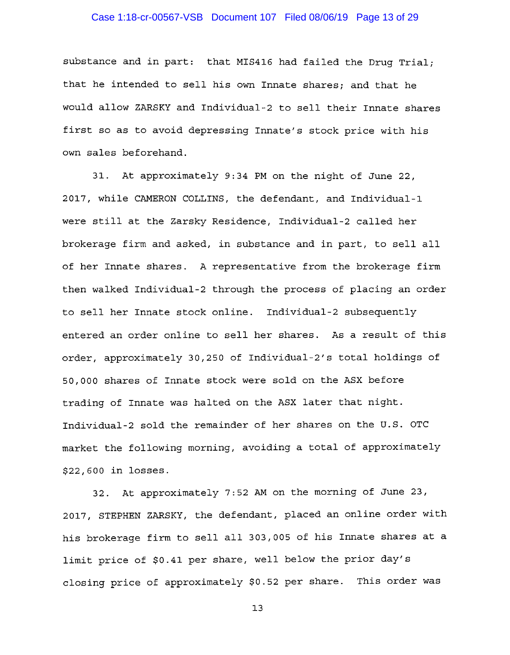## Case 1:18-cr-00567-VSB Document 107 Filed 08/06/19 Page 13 of 29

substance and in part: that MIS416 had failed the Drug Trial; that he intended to sell his own Innate shares; and that he would allow ZARSKY and Individual-2 to sell their Innate shares first so as to avoid depressing Innate's stock price with his own sales beforehand.

31. At approximately 9:34 PM on the night of June 22, 2017, while CAMERON COLLINS, the defendant, and Individual-1 were still at the Zarsky Residence, Individual-2 called her brokerage firm and asked, in substance and in part, to sell all of her Innate shares. A representative from the brokerage firm then walked Individual-2 through the process of placing an order to sell her Innate stock online. Individual-2 subsequently entered an order online to sell her shares. As a result of this order, approximately 30,250 of Individual-2's total holdings of 50,000 shares of Innate stock were sold on the ASX before trading of Innate was halted on the ASX later that night. Individual-2 sold the remainder of her shares on the U.S. OTC market the following morning, avoiding a total of approximately \$22,600 in losses.

32. At approximately 7:52 AM on the morning of June 23, 2017, STEPHEN ZARSKY, the defendant, placed an online order with his brokerage firm to sell all 303,005 of his Innate shares at a limit price of \$0.41 per share, well below the prior day's closing price of approximately \$0.52 per share. This order was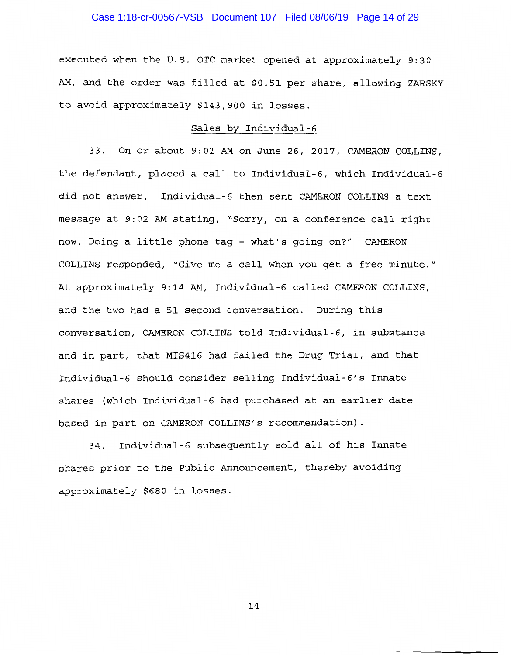## Case 1:18-cr-00567-VSB Document 107 Filed 08/06/19 Page 14 of 29

executed when the U.S. OTC market opened at approximately 9:30 AM, and the order was filled at \$0.51 per share, allowing ZARSKY to avoid approximately \$143,900 in losses.

## Sales by Individual-6

33. On or about 9:01 AM on June 26, 2017, CAMERON COLLINS, the defendant, placed a call to Individual-6, which Individual-6 did not answer. Individual-6 then sent CAMERON COLLINS a text message at 9:02 AM stating, "Sorry, on a conference call right now. Doing a little phone tag - what's going on?" CAMERON COLLINS responded, "Give me a call when you get a free minute." At approximately 9:14 AM, Individual-6 called CAMERON COLLINS, and the two had a 51 second conversation. During this conversation, CAMERON COLLINS told Individual-6, in substance and in part, that MIS416 had failed the Drug Trial, and that Individual-6 should consider selling Individual-6's Innate shares (which Individual-6 had purchased at an earlier date based in part on CAMERON COLLINS's recommendation).

34. Individual-6 subsequently sold all of his Innate shares prior to the Public Announcement, thereby avoiding approximately \$680 in losses.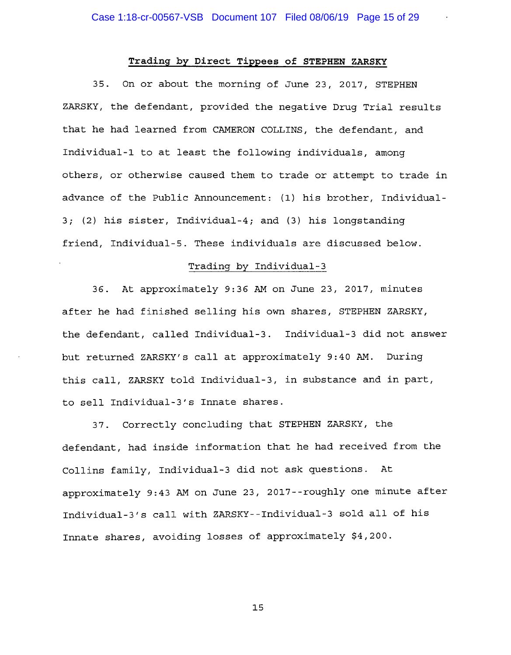## Trading by Direct Tippees of STEPHEN ZARSKY

35. On or about the morning of June 23, 2017, STEPHEN ZARSKY, the defendant, provided the negative Drug Trial results that he had learned from CAMERON COLLINS, the defendant, and Individual-1 to at least the following individuals, among others, or otherwise caused them to trade or attempt to trade in advance of the Public Announcement: (1) his brother, Individual-3; (2) his sister, Individual-4; and (3) his longstanding friend, Individual-5. These individuals are discussed below.

## Trading by Individual-3

36. At approximately 9:36 AM on June 23, 2017, minutes after he had finished selling his own shares, STEPHEN ZARSKY, the defendant, called Individual-3. Individual-3 did not answer but returned ZARSKY's call at approximately 9:40 AM. During this call. ZARSKY told Individual-3, in substance and in part, to sell Individual-3's Innate shares.

37. Correctly concluding that STEPHEN ZARSKY, the defendant, had inside information that he had received from the Collins family, Individual-3 did not ask questions. At approximately 9:43 AM on June 23, 2017--roughly one minute after Individual-3's call with ZARSKY--Individual-3 sold all of his Innate shares, avoiding losses of approximately \$4,200.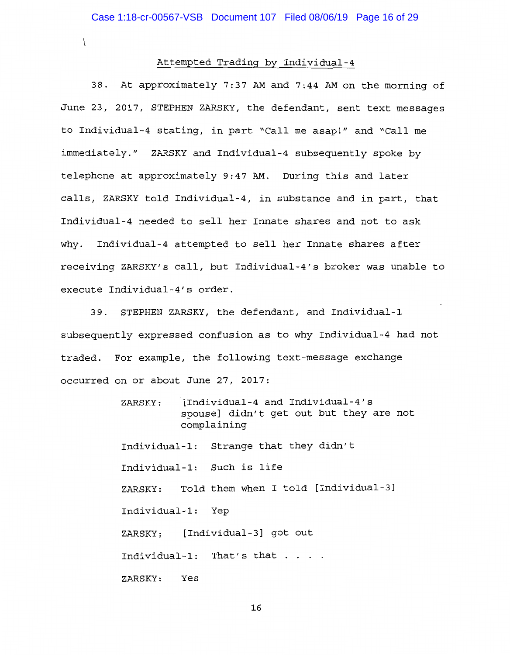$\mathcal{L}$ 

## Attempted Trading by Individual-4

38. At approximately 7:37 AM and 7:44 AM on the morning of June 23, 2017, STEPHEN ZARSKY, the defendant, sent text messages to Individual-4 stating, in part "Call me asap!" and "Call me immediately." ZARSKY and Individual-4 subsequently spoke by telephone at approximately 9:47 AM. During this and later calls, ZARSKY told Individual-4, in substance and in part, that Individual-4 needed to sell her Innate shares and not to ask why. Individual-4 attempted to sell her Innate shares after receiving ZARSKY's call, but Individual-4's broker was unable to execute Individual-4's order.

STEPHEN ZARSKY, the defendant, and Individual-1  $39.$ subsequently expressed confusion as to why Individual-4 had not traded. For example, the following text-message exchange occurred on or about June 27, 2017:

> [Individual-4 and Individual-4's ZARSKY: spouse] didn't get out but they are not complaining Individual-1: Strange that they didn't Individual-1: Such is life ZARSKY: Told them when I told [Individual-3] Individual-1: Yep ZARSKY: [Individual-3] got out Individual-1: That's that . . . . ZARSKY: Yes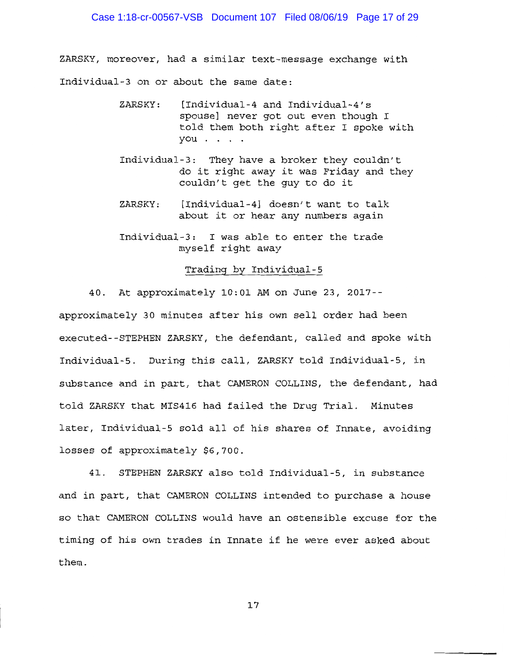ZARSKY, moreover, had a similar text-message exchange with Individual-3 on or about the same date:

- ZARSKY: [Individual-4 and Individual-4's spouse] never got out even though I told them both right after I spoke with you . . . .
- Individual-3: They have a broker they couldn't do it right away it was Friday and they couldn't get the guy to do it
- [Individual-4] doesn't want to talk ZARSKY: about it or hear any numbers again
- Individual-3: I was able to enter the trade myself right away

## Trading by Individual-5

40. At approximately 10:01 AM on June 23, 2017-approximately 30 minutes after his own sell order had been executed--STEPHEN ZARSKY, the defendant, called and spoke with Individual-5. During this call, ZARSKY told Individual-5, in substance and in part, that CAMERON COLLINS, the defendant, had told ZARSKY that MIS416 had failed the Drug Trial. Minutes later, Individual-5 sold all of his shares of Innate, avoiding losses of approximately \$6,700.

41. STEPHEN ZARSKY also told Individual-5, in substance and in part, that CAMERON COLLINS intended to purchase a house so that CAMERON COLLINS would have an ostensible excuse for the timing of his own trades in Innate if he were ever asked about them.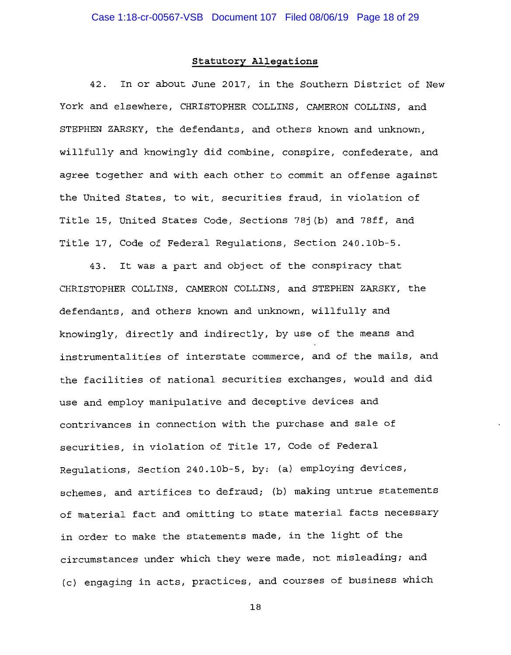# Statutory Allegations

42. In or about June 2017, in the Southern District of New York and elsewhere, CHRISTOPHER COLLINS, CAMERON COLLINS, and STEPHEN ZARSKY, the defendants, and others known and unknown, willfully and knowingly did combine, conspire, confederate, and agree together and with each other to commit an offense against the United States, to wit, securities fraud, in violation of Title 15, United States Code, Sections 78j(b) and 78ff, and Title 17, Code of Federal Requlations, Section 240.10b-5.

43. It was a part and object of the conspiracy that CHRISTOPHER COLLINS, CAMERON COLLINS, and STEPHEN ZARSKY, the defendants, and others known and unknown, willfully and knowingly, directly and indirectly, by use of the means and instrumentalities of interstate commerce, and of the mails, and the facilities of national securities exchanges, would and did use and employ manipulative and deceptive devices and contrivances in connection with the purchase and sale of securities, in violation of Title 17, Code of Federal Regulations, Section 240.10b-5, by: (a) employing devices, schemes, and artifices to defraud; (b) making untrue statements of material fact and omitting to state material facts necessary in order to make the statements made, in the light of the circumstances under which they were made, not misleading; and (c) engaging in acts, practices, and courses of business which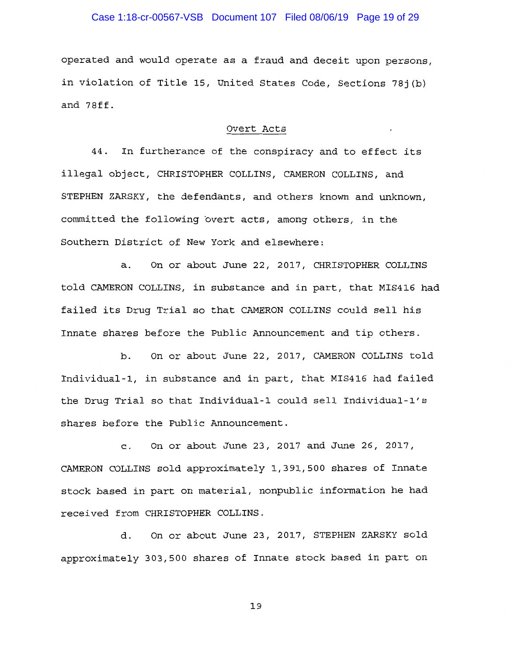## Case 1:18-cr-00567-VSB Document 107 Filed 08/06/19 Page 19 of 29

operated and would operate as a fraud and deceit upon persons, in violation of Title 15, United States Code, Sections 781(b) and 78ff.

#### Overt Acts

44. In furtherance of the conspiracy and to effect its illegal object, CHRISTOPHER COLLINS, CAMERON COLLINS, and STEPHEN ZARSKY, the defendants, and others known and unknown, committed the following overt acts, among others, in the Southern District of New York and elsewhere:

On or about June 22, 2017, CHRISTOPHER COLLINS  $a.$ told CAMERON COLLINS, in substance and in part, that MIS416 had failed its Drug Trial so that CAMERON COLLINS could sell his Innate shares before the Public Announcement and tip others.

b. On or about June 22, 2017, CAMERON COLLINS told Individual-1, in substance and in part, that MIS416 had failed the Drug Trial so that Individual-1 could sell Individual-1's shares before the Public Announcement.

c. On or about June 23, 2017 and June 26, 2017, CAMERON COLLINS sold approximately 1,391,500 shares of Innate stock based in part on material, nonpublic information he had received from CHRISTOPHER COLLINS.

On or about June 23, 2017, STEPHEN ZARSKY sold d. approximately 303,500 shares of Innate stock based in part on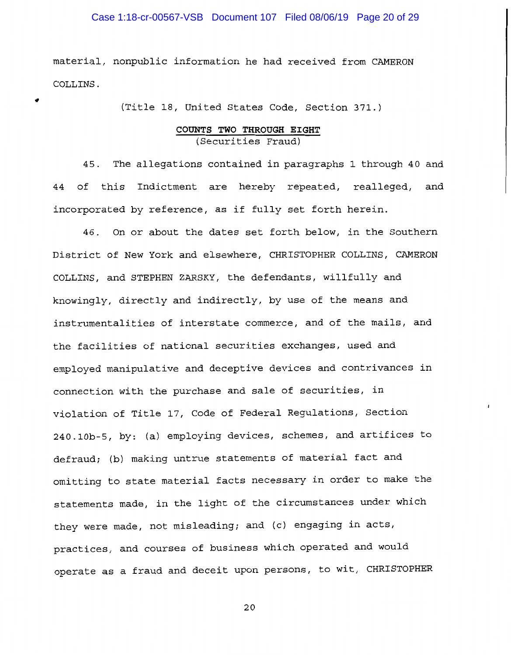## Case 1:18-cr-00567-VSB Document 107 Filed 08/06/19 Page 20 of 29

material, nonpublic information he had received from CAMERON COLLINS.

(Title 18, United States Code, Section 371.)

# COUNTS TWO THROUGH EIGHT (Securities Fraud)

The allegations contained in paragraphs 1 through 40 and 45. 44 of this Indictment are hereby repeated, realleged, and incorporated by reference, as if fully set forth herein.

46. On or about the dates set forth below, in the Southern District of New York and elsewhere, CHRISTOPHER COLLINS, CAMERON COLLINS, and STEPHEN ZARSKY, the defendants, willfully and knowingly, directly and indirectly, by use of the means and instrumentalities of interstate commerce, and of the mails, and the facilities of national securities exchanges, used and emploved manipulative and deceptive devices and contrivances in connection with the purchase and sale of securities, in violation of Title 17, Code of Federal Regulations, Section 240.10b-5, by: (a) employing devices, schemes, and artifices to defraud; (b) making untrue statements of material fact and omitting to state material facts necessary in order to make the statements made, in the light of the circumstances under which they were made, not misleading; and (c) engaging in acts, practices, and courses of business which operated and would operate as a fraud and deceit upon persons, to wit, CHRISTOPHER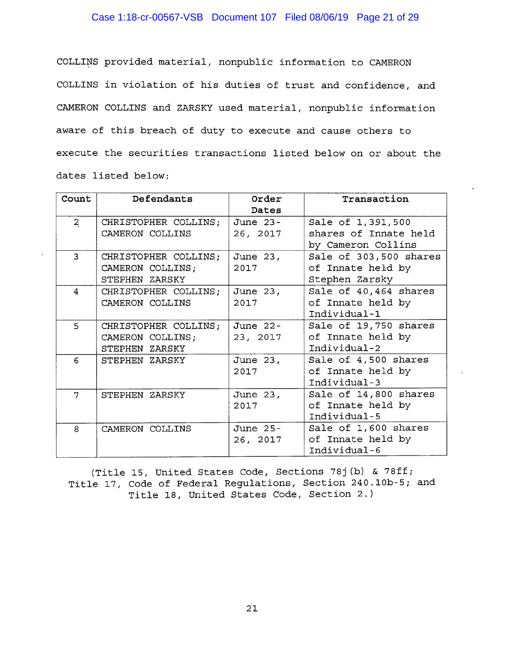# Case 1:18-cr-00567-VSB Document 107 Filed 08/06/19 Page 21 of 29

COLLINS provided material, nonpublic information to CAMERON COLLINS in violation of his duties of trust and confidence, and CAMERON COLLINS and ZARSKY used material, nonpublic information aware of this breach of duty to execute and cause others to execute the securities transactions listed below on or about the dates listed below:

| Count          | Defendants           | Order      | Transaction            |
|----------------|----------------------|------------|------------------------|
|                |                      | Dates      |                        |
| $\overline{2}$ | CHRISTOPHER COLLINS; | June 23-   | Sale of 1,391,500      |
|                | CAMERON COLLINS      | 26, 2017   | shares of Innate held  |
|                |                      |            | by Cameron Collins     |
| 3              | CHRISTOPHER COLLINS; | June 23,   | Sale of 303,500 shares |
|                | CAMERON COLLINS;     | 2017       | of Innate held by      |
|                | STEPHEN ZARSKY       |            | Stephen Zarsky         |
| 4              | CHRISTOPHER COLLINS; | June 23,   | Sale of 40,464 shares  |
|                | CAMERON COLLINS      | 2017       | of Innate held by      |
|                |                      |            | Individual-1           |
| 5              | CHRISTOPHER COLLINS; | June 22-   | Sale of 19,750 shares  |
|                | CAMERON COLLINS;     | 23, 2017   | of Innate held by      |
|                | STEPHEN ZARSKY       |            | Individual-2           |
| 6              | STEPHEN ZARSKY       | June 23,   | Sale of 4,500 shares   |
|                |                      | 2017       | of Innate held by      |
|                |                      |            | Individual-3           |
| 7              | STEPHEN ZARSKY       | June 23,   | Sale of 14,800 shares  |
|                |                      | 2017       | of Innate held by      |
|                |                      |            | Individual-5           |
| 8              | CAMERON COLLINS      | June $25-$ | Sale of 1,600 shares   |
|                |                      | 26, 2017   | of Innate held by      |
|                |                      |            | Individual-6           |

(Title 15, United States Code, Sections 78j(b) & 78ff; Title 17, Code of Federal Regulations, Section 240.10b-5; and Title 18, United States Code, Section 2.)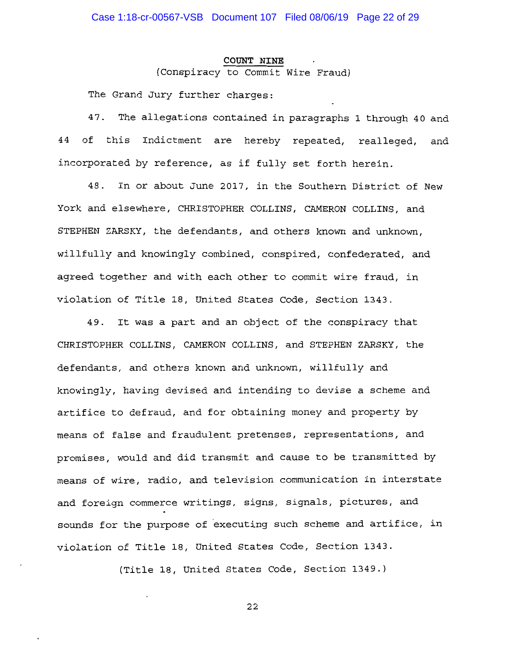#### COUNT NINE

(Conspiracy to Commit Wire Fraud)

The Grand Jury further charges:

47. The allegations contained in paragraphs 1 through 40 and 44 of this Indictment are hereby repeated, realleged, and incorporated by reference, as if fully set forth herein.

In or about June 2017, in the Southern District of New 48. York and elsewhere, CHRISTOPHER COLLINS, CAMERON COLLINS, and STEPHEN ZARSKY, the defendants, and others known and unknown, willfully and knowingly combined, conspired, confederated, and agreed together and with each other to commit wire fraud, in violation of Title 18, United States Code, Section 1343.

It was a part and an object of the conspiracy that 49. CHRISTOPHER COLLINS, CAMERON COLLINS, and STEPHEN ZARSKY, the defendants, and others known and unknown, willfully and knowingly, having devised and intending to devise a scheme and artifice to defraud, and for obtaining money and property by means of false and fraudulent pretenses, representations, and promises, would and did transmit and cause to be transmitted by means of wire, radio, and television communication in interstate and foreign commerce writings, signs, signals, pictures, and sounds for the purpose of executing such scheme and artifice, in violation of Title 18, United States Code, Section 1343.

(Title 18, United States Code, Section 1349.)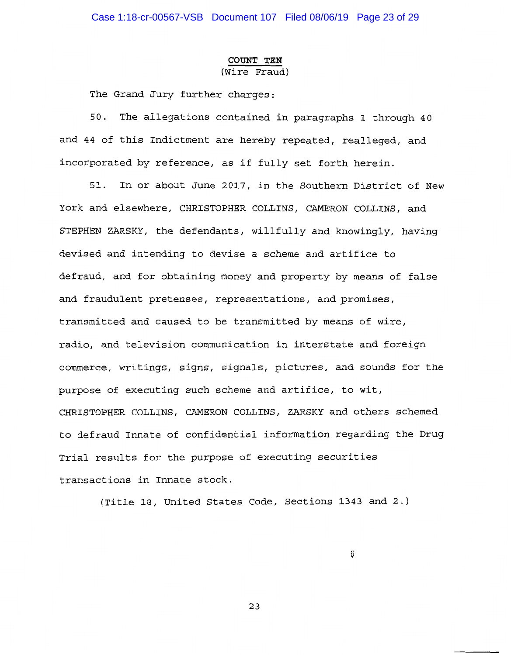## COUNT TEN (Wire Fraud)

The Grand Jury further charges:

50. The allegations contained in paragraphs 1 through 40 and 44 of this Indictment are hereby repeated, realleged, and incorporated by reference, as if fully set forth herein.

51. In or about June 2017, in the Southern District of New York and elsewhere, CHRISTOPHER COLLINS, CAMERON COLLINS, and STEPHEN ZARSKY, the defendants, willfully and knowingly, having devised and intending to devise a scheme and artifice to defraud, and for obtaining money and property by means of false and fraudulent pretenses, representations, and promises, transmitted and caused to be transmitted by means of wire, radio, and television communication in interstate and foreign commerce, writings, signs, signals, pictures, and sounds for the purpose of executing such scheme and artifice, to wit, CHRISTOPHER COLLINS, CAMERON COLLINS, ZARSKY and others schemed to defraud Innate of confidential information regarding the Drug Trial results for the purpose of executing securities transactions in Innate stock.

(Title 18, United States Code, Sections 1343 and 2.)

ů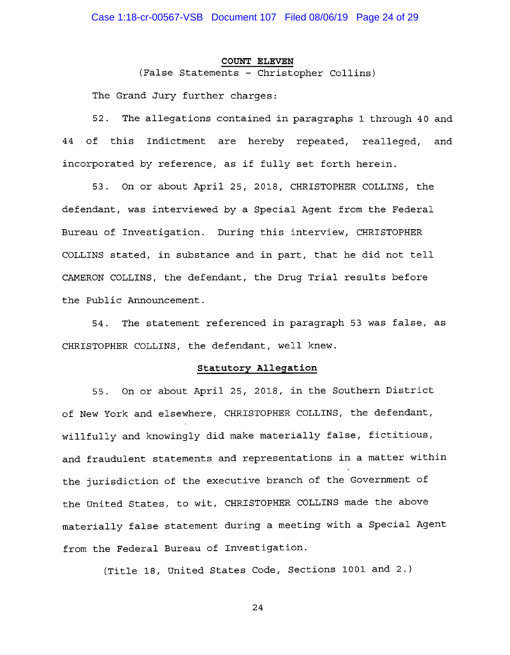#### **COUNT ELEVEN**

(False Statements - Christopher Collins)

The Grand Jury further charges:

The allegations contained in paragraphs 1 through 40 and 52. 44 of this Indictment are hereby repeated, realleged, and incorporated by reference, as if fully set forth herein.

53. On or about April 25, 2018, CHRISTOPHER COLLINS, the defendant, was interviewed by a Special Agent from the Federal Bureau of Investigation. During this interview, CHRISTOPHER COLLINS stated, in substance and in part, that he did not tell CAMERON COLLINS, the defendant, the Drug Trial results before the Public Announcement.

The statement referenced in paragraph 53 was false, as 54. CHRISTOPHER COLLINS, the defendant, well knew.

## Statutory Allegation

55. On or about April 25, 2018, in the Southern District of New York and elsewhere, CHRISTOPHER COLLINS, the defendant, willfully and knowingly did make materially false, fictitious, and fraudulent statements and representations in a matter within the jurisdiction of the executive branch of the Government of the United States, to wit, CHRISTOPHER COLLINS made the above materially false statement during a meeting with a Special Agent from the Federal Bureau of Investigation.

(Title 18, United States Code, Sections 1001 and 2.)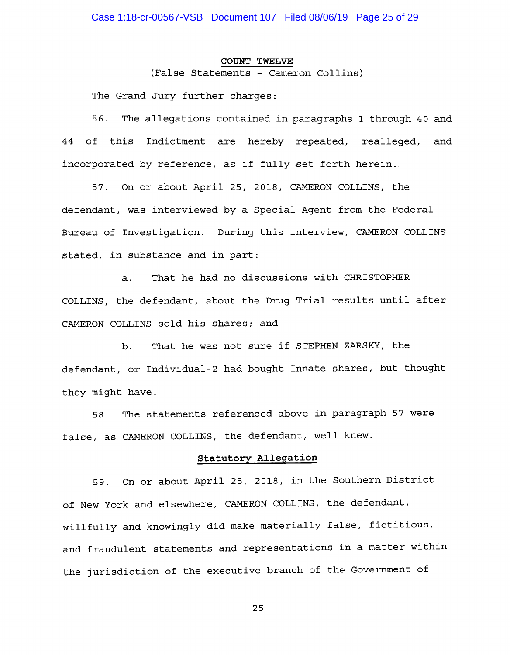#### **COUNT TWELVE**

(False Statements - Cameron Collins)

The Grand Jury further charges:

56. The allegations contained in paragraphs 1 through 40 and of this Indictment are hereby repeated, realleged, and 44 incorporated by reference, as if fully set forth herein..

57. On or about April 25, 2018, CAMERON COLLINS, the defendant, was interviewed by a Special Agent from the Federal Bureau of Investigation. During this interview, CAMERON COLLINS stated, in substance and in part:

That he had no discussions with CHRISTOPHER  $a.$ COLLINS, the defendant, about the Drug Trial results until after CAMERON COLLINS sold his shares; and

That he was not sure if STEPHEN ZARSKY, the  $b.$ defendant, or Individual-2 had bought Innate shares, but thought they might have.

The statements referenced above in paragraph 57 were 58. false, as CAMERON COLLINS, the defendant, well knew.

## Statutory Allegation

59. On or about April 25, 2018, in the Southern District of New York and elsewhere, CAMERON COLLINS, the defendant, willfully and knowingly did make materially false, fictitious, and fraudulent statements and representations in a matter within the jurisdiction of the executive branch of the Government of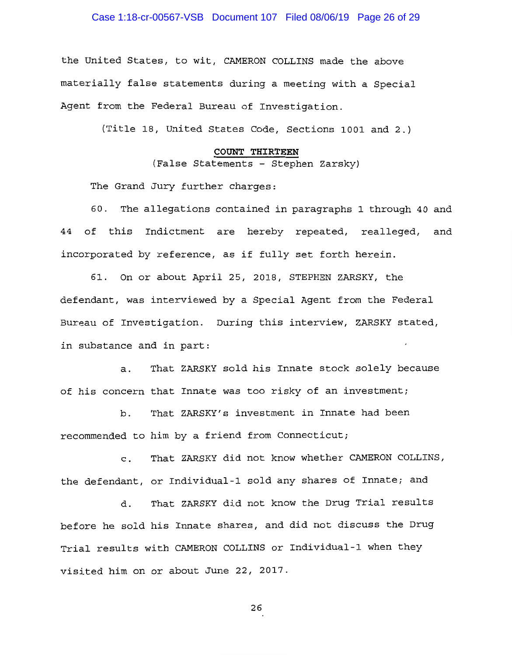# Case 1:18-cr-00567-VSB Document 107 Filed 08/06/19 Page 26 of 29

the United States, to wit, CAMERON COLLINS made the above materially false statements during a meeting with a Special Agent from the Federal Bureau of Investigation.

(Title 18, United States Code, Sections 1001 and 2.)

#### COUNT THIRTEEN

(False Statements - Stephen Zarsky)

The Grand Jury further charges:

The allegations contained in paragraphs 1 through 40 and 60. 44 of this Indictment are hereby repeated, realleged, and incorporated by reference, as if fully set forth herein.

61. On or about April 25, 2018, STEPHEN ZARSKY, the defendant, was interviewed by a Special Agent from the Federal Bureau of Investigation. During this interview, ZARSKY stated, in substance and in part:

That ZARSKY sold his Innate stock solely because a. of his concern that Innate was too risky of an investment;

That ZARSKY's investment in Innate had been b. recommended to him by a friend from Connecticut;

That ZARSKY did not know whether CAMERON COLLINS,  $\mathbf{c}$ . the defendant, or Individual-1 sold any shares of Innate; and

That ZARSKY did not know the Drug Trial results d. before he sold his Innate shares, and did not discuss the Drug Trial results with CAMERON COLLINS or Individual-1 when they visited him on or about June 22, 2017.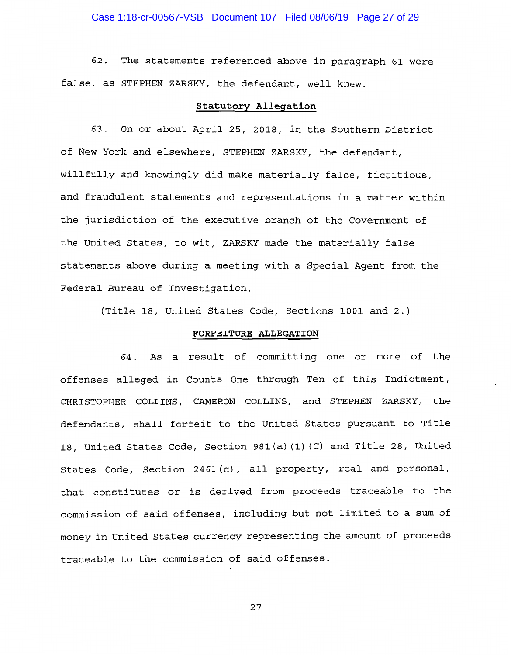62. The statements referenced above in paragraph 61 were false, as STEPHEN ZARSKY, the defendant, well knew.

## Statutory Allegation

63. On or about April 25, 2018, in the Southern District of New York and elsewhere, STEPHEN ZARSKY, the defendant, willfully and knowingly did make materially false, fictitious, and fraudulent statements and representations in a matter within the jurisdiction of the executive branch of the Government of the United States, to wit, ZARSKY made the materially false statements above during a meeting with a Special Agent from the Federal Bureau of Investigation.

(Title 18, United States Code, Sections 1001 and 2.)

## FORFEITURE ALLEGATION

64. As a result of committing one or more of the offenses alleged in Counts One through Ten of this Indictment, CHRISTOPHER COLLINS, CAMERON COLLINS, and STEPHEN ZARSKY, the defendants, shall forfeit to the United States pursuant to Title 18, United States Code, Section 981(a)(1)(C) and Title 28, United States Code, Section 2461(c), all property, real and personal, that constitutes or is derived from proceeds traceable to the commission of said offenses, including but not limited to a sum of money in United States currency representing the amount of proceeds traceable to the commission of said offenses.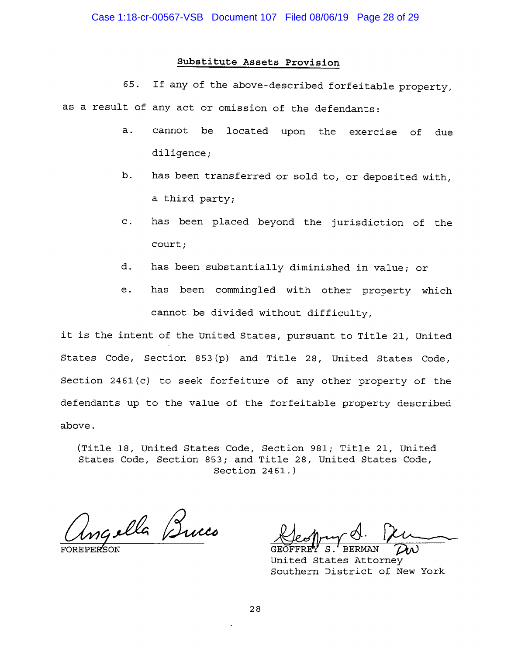# Substitute Assets Provision

If any of the above-described forfeitable property, 65. as a result of any act or omission of the defendants:

- $a.$ cannot be located upon the exercise of due diligence;
- b. has been transferred or sold to, or deposited with, a third party;
- has been placed beyond the jurisdiction of the  $\mathbf{C}$ . court;
- d. has been substantially diminished in value; or
- has been commingled with other property which e. cannot be divided without difficulty,

it is the intent of the United States, pursuant to Title 21, United States Code, Section 853(p) and Title 28, United States Code, Section 2461(c) to seek forfeiture of any other property of the defendants up to the value of the forfeitable property described above.

(Title 18, United States Code, Section 981; Title 21, United States Code, Section 853; and Title 28, United States Code, Section  $2461.$ )

ngella Bucco

United States Attorney Southern District of New York